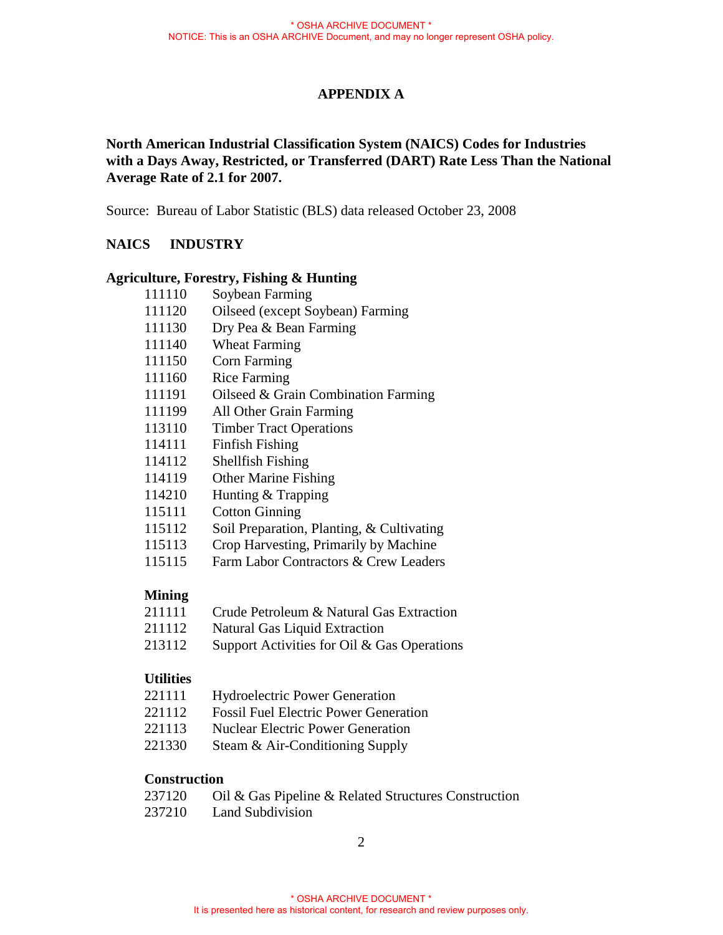### **APPENDIX A**

## **North American Industrial Classification System (NAICS) Codes for Industries with a Days Away, Restricted, or Transferred (DART) Rate Less Than the National Average Rate of 2.1 for 2007.**

Source: Bureau of Labor Statistic (BLS) data released October 23, 2008

### **NAICS INDUSTRY**

#### **Agriculture, Forestry, Fishing & Hunting**

| 111110 | Soybean Farming                  |
|--------|----------------------------------|
| 111120 | Oilseed (except Soybean) Farming |
| 111130 | Dry Pea & Bean Farming           |
| 111140 | <b>Wheat Farming</b>             |
| 111150 | <b>Corn Farming</b>              |
| 111160 | <b>Rice Farming</b>              |

- 111191 Oilseed & Grain Combination Farming
- 111199 All Other Grain Farming
- 113110 Timber Tract Operations
- 114111 Finfish Fishing
- 114112 Shellfish Fishing
- 114119 Other Marine Fishing
- 114210 Hunting & Trapping
- 115111 Cotton Ginning
- 115112 Soil Preparation, Planting, & Cultivating
- 115113 Crop Harvesting, Primarily by Machine
- 115115 Farm Labor Contractors & Crew Leaders

### **Mining**

- 211111 Crude Petroleum & Natural Gas Extraction
- 211112 Natural Gas Liquid Extraction
- 213112 Support Activities for Oil & Gas Operations

### **Utilities**

- 221111 Hydroelectric Power Generation
- 221112 Fossil Fuel Electric Power Generation
- 221113 Nuclear Electric Power Generation
- 221330 Steam & Air-Conditioning Supply

### **Construction**

| 237120 | Oil & Gas Pipeline & Related Structures Construction |  |
|--------|------------------------------------------------------|--|
|--------|------------------------------------------------------|--|

237210 Land Subdivision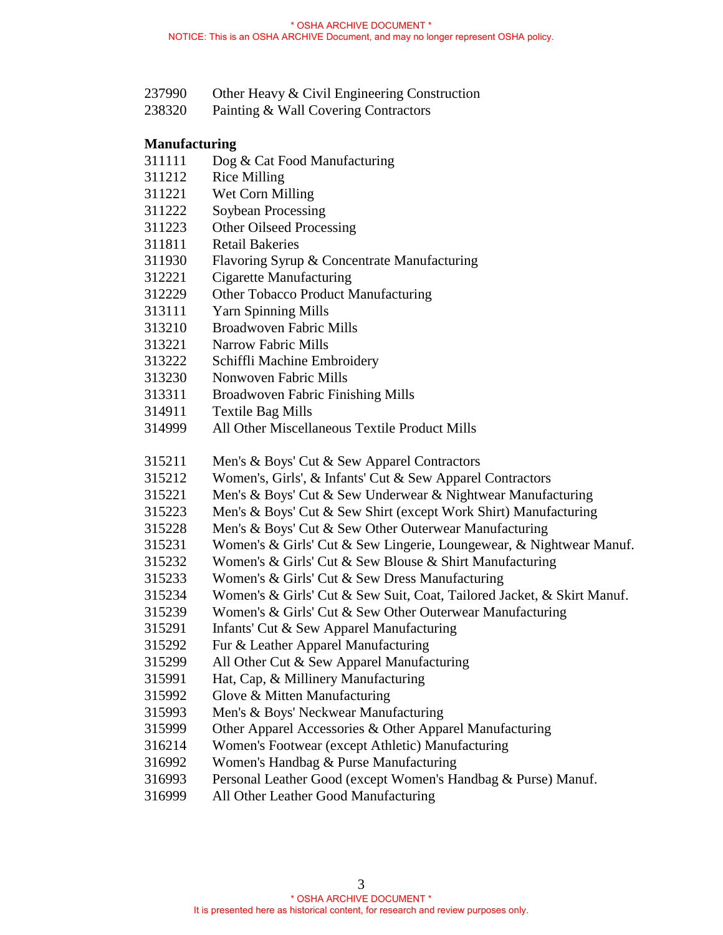- 237990 Other Heavy & Civil Engineering Construction
- 238320 Painting & Wall Covering Contractors

#### **Manufacturing**

- 311111 Dog & Cat Food Manufacturing
- 311212 Rice Milling
- 311221 Wet Corn Milling
- 311222 Soybean Processing
- 311223 Other Oilseed Processing
- 311811 Retail Bakeries
- 311930 Flavoring Syrup & Concentrate Manufacturing
- 312221 Cigarette Manufacturing
- 312229 Other Tobacco Product Manufacturing
- 313111 Yarn Spinning Mills
- 313210 Broadwoven Fabric Mills
- 313221 Narrow Fabric Mills
- 313222 Schiffli Machine Embroidery
- 313230 Nonwoven Fabric Mills
- 313311 Broadwoven Fabric Finishing Mills
- 314911 Textile Bag Mills
- 314999 All Other Miscellaneous Textile Product Mills
- 315211 Men's & Boys' Cut & Sew Apparel Contractors
- 315212 Women's, Girls', & Infants' Cut & Sew Apparel Contractors
- 315221 Men's & Boys' Cut & Sew Underwear & Nightwear Manufacturing
- 315223 Men's & Boys' Cut & Sew Shirt (except Work Shirt) Manufacturing
- 315228 Men's & Boys' Cut & Sew Other Outerwear Manufacturing
- 315231 Women's & Girls' Cut & Sew Lingerie, Loungewear, & Nightwear Manuf.
- 315232 Women's & Girls' Cut & Sew Blouse & Shirt Manufacturing
- 315233 Women's & Girls' Cut & Sew Dress Manufacturing
- 315234 Women's & Girls' Cut & Sew Suit, Coat, Tailored Jacket, & Skirt Manuf.
- 315239 Women's & Girls' Cut & Sew Other Outerwear Manufacturing
- 315291 Infants' Cut & Sew Apparel Manufacturing
- 315292 Fur & Leather Apparel Manufacturing
- 315299 All Other Cut & Sew Apparel Manufacturing
- 315991 Hat, Cap, & Millinery Manufacturing
- 315992 Glove & Mitten Manufacturing
- 315993 Men's & Boys' Neckwear Manufacturing
- 315999 Other Apparel Accessories & Other Apparel Manufacturing
- 316214 Women's Footwear (except Athletic) Manufacturing
- 316992 Women's Handbag & Purse Manufacturing
- 316993 Personal Leather Good (except Women's Handbag & Purse) Manuf.
- 316999 All Other Leather Good Manufacturing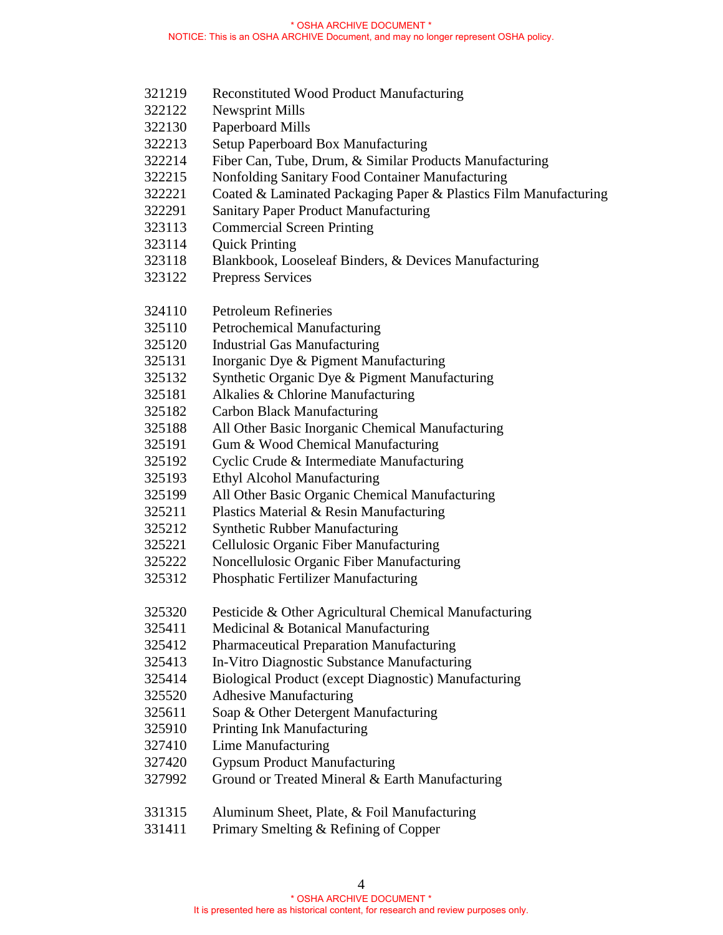- 321219 Reconstituted Wood Product Manufacturing
- 322122 Newsprint Mills
- 322130 Paperboard Mills
- 322213 Setup Paperboard Box Manufacturing
- 322214 Fiber Can, Tube, Drum, & Similar Products Manufacturing
- 322215 Nonfolding Sanitary Food Container Manufacturing
- 322221 Coated & Laminated Packaging Paper & Plastics Film Manufacturing
- 322291 Sanitary Paper Product Manufacturing
- 323113 Commercial Screen Printing
- 323114 Quick Printing
- 323118 Blankbook, Looseleaf Binders, & Devices Manufacturing
- 323122 Prepress Services
- 324110 Petroleum Refineries
- 325110 Petrochemical Manufacturing
- 325120 Industrial Gas Manufacturing
- 325131 Inorganic Dye & Pigment Manufacturing
- 325132 Synthetic Organic Dye & Pigment Manufacturing
- 325181 Alkalies & Chlorine Manufacturing
- 325182 Carbon Black Manufacturing
- 325188 All Other Basic Inorganic Chemical Manufacturing
- 325191 Gum & Wood Chemical Manufacturing
- 325192 Cyclic Crude & Intermediate Manufacturing
- 325193 Ethyl Alcohol Manufacturing
- 325199 All Other Basic Organic Chemical Manufacturing
- 325211 Plastics Material & Resin Manufacturing
- 325212 Synthetic Rubber Manufacturing
- 325221 Cellulosic Organic Fiber Manufacturing
- 325222 Noncellulosic Organic Fiber Manufacturing
- 325312 Phosphatic Fertilizer Manufacturing
- 325320 Pesticide & Other Agricultural Chemical Manufacturing
- 325411 Medicinal & Botanical Manufacturing
- 325412 Pharmaceutical Preparation Manufacturing
- 325413 In-Vitro Diagnostic Substance Manufacturing
- 325414 Biological Product (except Diagnostic) Manufacturing
- 325520 Adhesive Manufacturing
- 325611 Soap & Other Detergent Manufacturing
- 325910 Printing Ink Manufacturing
- 327410 Lime Manufacturing
- 327420 Gypsum Product Manufacturing
- 327992 Ground or Treated Mineral & Earth Manufacturing
- 331315 Aluminum Sheet, Plate, & Foil Manufacturing
- 331411 Primary Smelting & Refining of Copper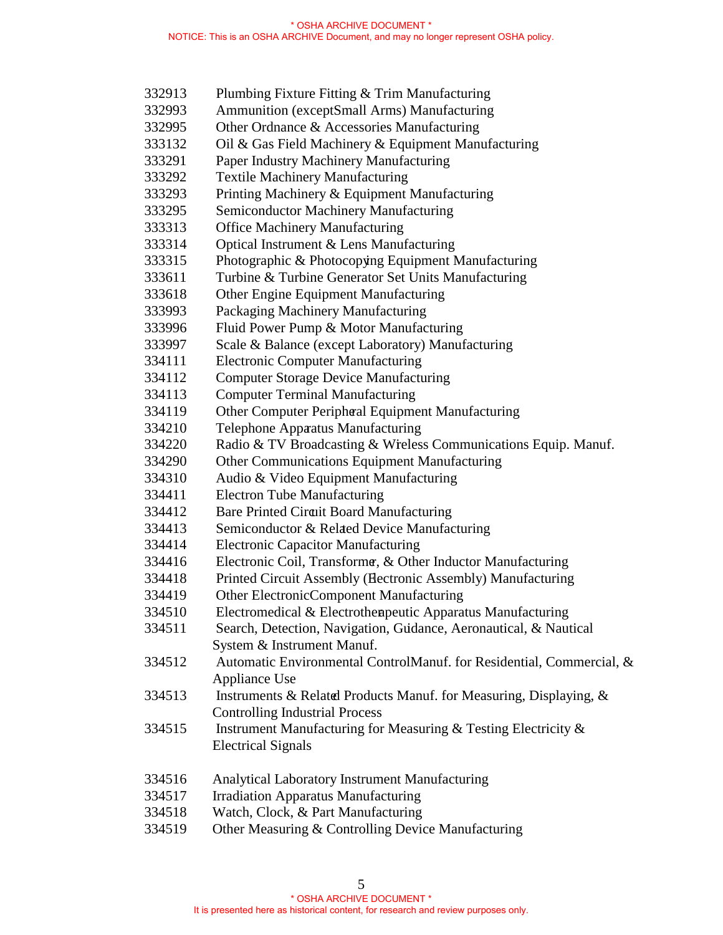| 332913 | Plumbing Fixture Fitting & Trim Manufacturing                        |
|--------|----------------------------------------------------------------------|
| 332993 | Ammunition (exceptSmall Arms) Manufacturing                          |
| 332995 | Other Ordnance & Accessories Manufacturing                           |
| 333132 | Oil & Gas Field Machinery & Equipment Manufacturing                  |
| 333291 | Paper Industry Machinery Manufacturing                               |
| 333292 | <b>Textile Machinery Manufacturing</b>                               |
| 333293 | Printing Machinery & Equipment Manufacturing                         |
| 333295 | Semiconductor Machinery Manufacturing                                |
| 333313 | <b>Office Machinery Manufacturing</b>                                |
| 333314 | Optical Instrument & Lens Manufacturing                              |
| 333315 | Photographic & Photocopying Equipment Manufacturing                  |
| 333611 | Turbine & Turbine Generator Set Units Manufacturing                  |
| 333618 | Other Engine Equipment Manufacturing                                 |
| 333993 | Packaging Machinery Manufacturing                                    |
| 333996 | Fluid Power Pump & Motor Manufacturing                               |
| 333997 | Scale & Balance (except Laboratory) Manufacturing                    |
| 334111 | <b>Electronic Computer Manufacturing</b>                             |
| 334112 | <b>Computer Storage Device Manufacturing</b>                         |
| 334113 | <b>Computer Terminal Manufacturing</b>                               |
| 334119 | Other Computer Peripheal Equipment Manufacturing                     |
| 334210 | <b>Telephone Appaatus Manufacturing</b>                              |
| 334220 | Radio & TV Broadcasting & Wreless Communications Equip. Manuf.       |
| 334290 | <b>Other Communications Equipment Manufacturing</b>                  |
| 334310 | Audio & Video Equipment Manufacturing                                |
| 334411 | <b>Electron Tube Manufacturing</b>                                   |
| 334412 | Bare Printed Circuit Board Manufacturing                             |
| 334413 | Semiconductor & Related Device Manufacturing                         |
| 334414 | <b>Electronic Capacitor Manufacturing</b>                            |
| 334416 | Electronic Coil, Transforme, & Other Inductor Manufacturing          |
| 334418 | Printed Circuit Assembly (Hectronic Assembly) Manufacturing          |
| 334419 | Other ElectronicComponent Manufacturing                              |
| 334510 | Electromedical & Electrothenpeutic Apparatus Manufacturing           |
| 334511 | Search, Detection, Navigation, Gudance, Aeronautical, & Nautical     |
|        | System & Instrument Manuf.                                           |
| 334512 | Automatic Environmental ControlManuf. for Residential, Commercial, & |
|        | Appliance Use                                                        |
| 334513 | Instruments & Related Products Manuf. for Measuring, Displaying, &   |
|        | <b>Controlling Industrial Process</b>                                |
| 334515 | Instrument Manufacturing for Measuring & Testing Electricity &       |
|        | <b>Electrical Signals</b>                                            |
| 334516 | Analytical Laboratory Instrument Manufacturing                       |
| 334517 | <b>Irradiation Apparatus Manufacturing</b>                           |
| 334518 | Watch, Clock, & Part Manufacturing                                   |

334519 Other Measuring & Controlling Device Manufacturing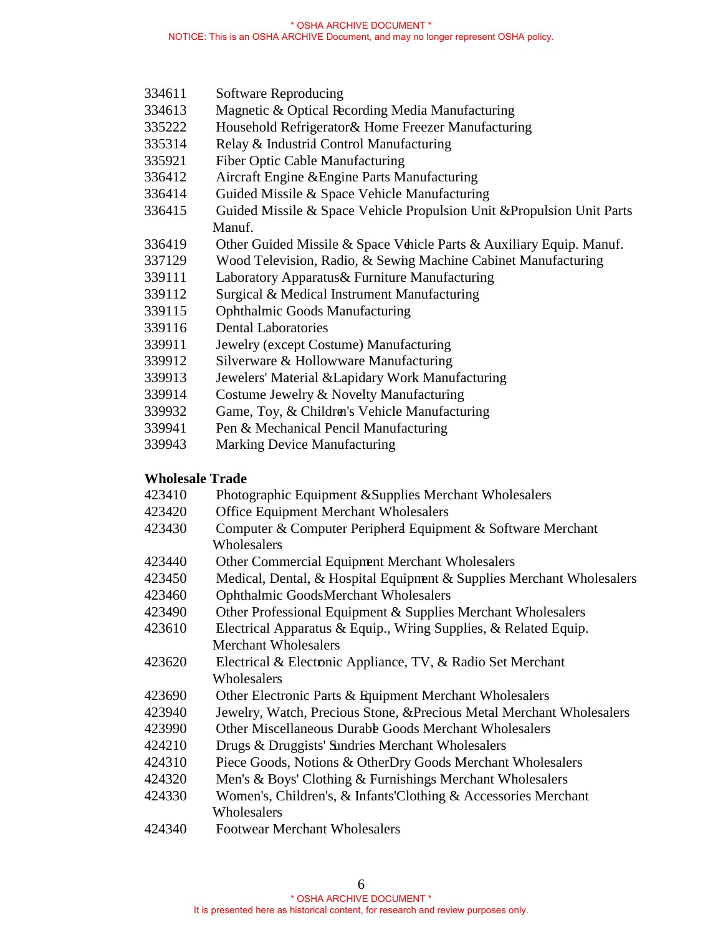- 334611 Software Reproducing
- 334613 Magnetic & Optical Recording Media Manufacturing
- 335222 Household Refrigerator & Home Freezer Manufacturing
- 335314 Relay & Industrial Control Manufacturing
- 335921 Fiber Optic Cable Manufacturing
- 336412 Aircraft Engine & Engine Parts Manufacturing
- 336414 Guided Missile & Space Vehicle Manufacturing
- 336415 Guided Missile & Space Vehicle Propulsion Unit &Propulsion Unit Parts Manuf.
- 336419 Other Guided Missile & Space Vehicle Parts & Auxiliary Equip. Manuf.
- 337129 Wood Television, Radio, & Sewing Machine Cabinet Manufacturing
- 339111 Laboratory Apparatus & Furniture Manufacturing
- 339112 Surgical & Medical Instrument Manufacturing
- 339115 Ophthalmic Goods Manufacturing
- 339116 Dental Laboratories
- 339911 Jewelry (except Costume) Manufacturing
- 339912 Silverware & Hollowware Manufacturing
- 339913 Jewelers' Material & Lapidary Work Manufacturing
- 339914 Costume Jewelry & Novelty Manufacturing
- 339932 Game, Toy, & Children's Vehicle Manufacturing
- 339941 Pen & Mechanical Pencil Manufacturing
- 339943 Marking Device Manufacturing

## **Wholesale Trade**

- 423410 Photographic Equipment & Supplies Merchant Wholesalers
- 423420 Office Equipment Merchant Wholesalers
- 423430 Computer & Computer Peripheral Equipment & Software Merchant Wholesalers
- 423440 Other Commercial Equipment Merchant Wholesalers
- 423450 Medical, Dental, & Hospital Equipment & Supplies Merchant Wholesalers
- 423460 Ophthalmic Goods Merchant Wholesalers
- 423490 Other Professional Equipment & Supplies Merchant Wholesalers
- 423610 Electrical Apparatus & Equip., Wring Supplies, & Related Equip. Merchant Wholesalers
- 423620 Electrical & Electronic Appliance, TV, & Radio Set Merchant Wholesalers
- 423690 Other Electronic Parts & Equipment Merchant Wholesalers
- 423940 Jewelry, Watch, Precious Stone, & Precious Metal Merchant Wholesalers
- 423990 Other Miscellaneous Durable Goods Merchant Wholesalers
- 424210 Drugs & Druggists' Sundries Merchant Wholesalers
- 424310 Piece Goods, Notions & Other Dry Goods Merchant Wholesalers
- 424320 Men's & Boys' Clothing & Furnishings Merchant Wholesalers
- 424330 Women's, Children's, & Infants' Clothing & Accessories Merchant **Wholesalers**
- 424340 Footwear Merchant Wholesalers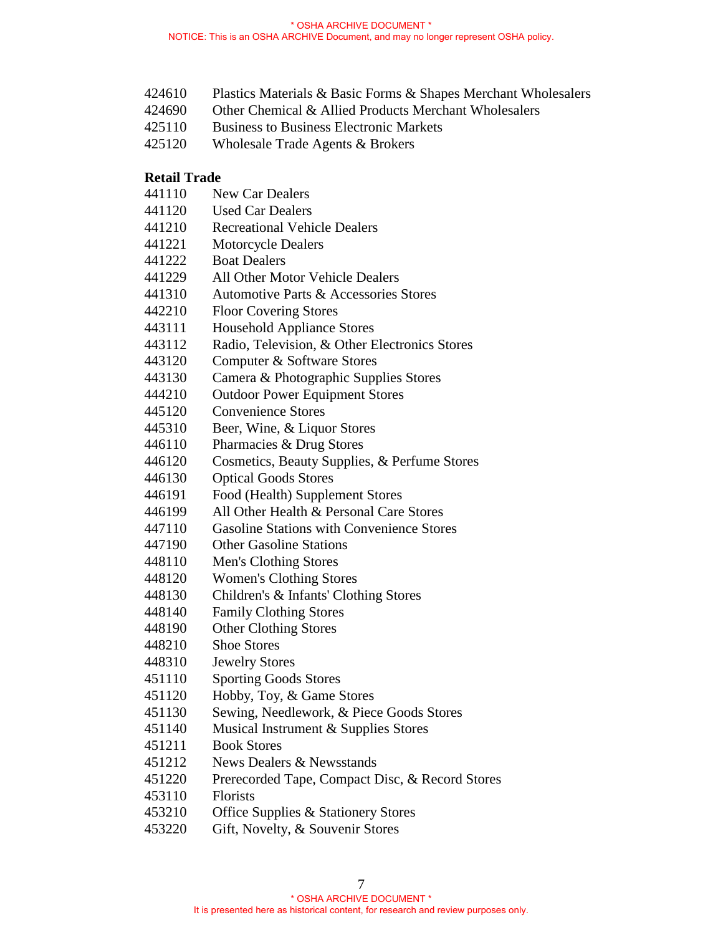- 424610 Plastics Materials & Basic Forms & Shapes Merchant Wholesalers
- 424690 Other Chemical & Allied Products Merchant Wholesalers
- 425110 Business to Business Electronic Markets
- 425120 Wholesale Trade Agents & Brokers

### **Retail Trade**

- 441110 New Car Dealers
- 441120 Used Car Dealers
- 441210 Recreational Vehicle Dealers
- 441221 Motorcycle Dealers
- 441222 Boat Dealers
- 441229 All Other Motor Vehicle Dealers
- 441310 Automotive Parts & Accessories Stores
- 442210 Floor Covering Stores
- 443111 Household Appliance Stores
- 443112 Radio, Television, & Other Electronics Stores
- 443120 Computer & Software Stores
- 443130 Camera & Photographic Supplies Stores
- 444210 Outdoor Power Equipment Stores
- 445120 Convenience Stores
- 445310 Beer, Wine, & Liquor Stores
- 446110 Pharmacies & Drug Stores
- 446120 Cosmetics, Beauty Supplies, & Perfume Stores
- 446130 Optical Goods Stores
- 446191 Food (Health) Supplement Stores
- 446199 All Other Health & Personal Care Stores
- 447110 Gasoline Stations with Convenience Stores
- 447190 Other Gasoline Stations
- 448110 Men's Clothing Stores
- 448120 Women's Clothing Stores
- 448130 Children's & Infants' Clothing Stores
- 448140 Family Clothing Stores
- 448190 Other Clothing Stores
- 448210 Shoe Stores
- 448310 Jewelry Stores
- 451110 Sporting Goods Stores
- 451120 Hobby, Toy, & Game Stores
- 451130 Sewing, Needlework, & Piece Goods Stores
- 451140 Musical Instrument & Supplies Stores
- 451211 Book Stores
- 451212 News Dealers & Newsstands
- 451220 Prerecorded Tape, Compact Disc, & Record Stores
- 453110 Florists
- 453210 Office Supplies & Stationery Stores
- 453220 Gift, Novelty, & Souvenir Stores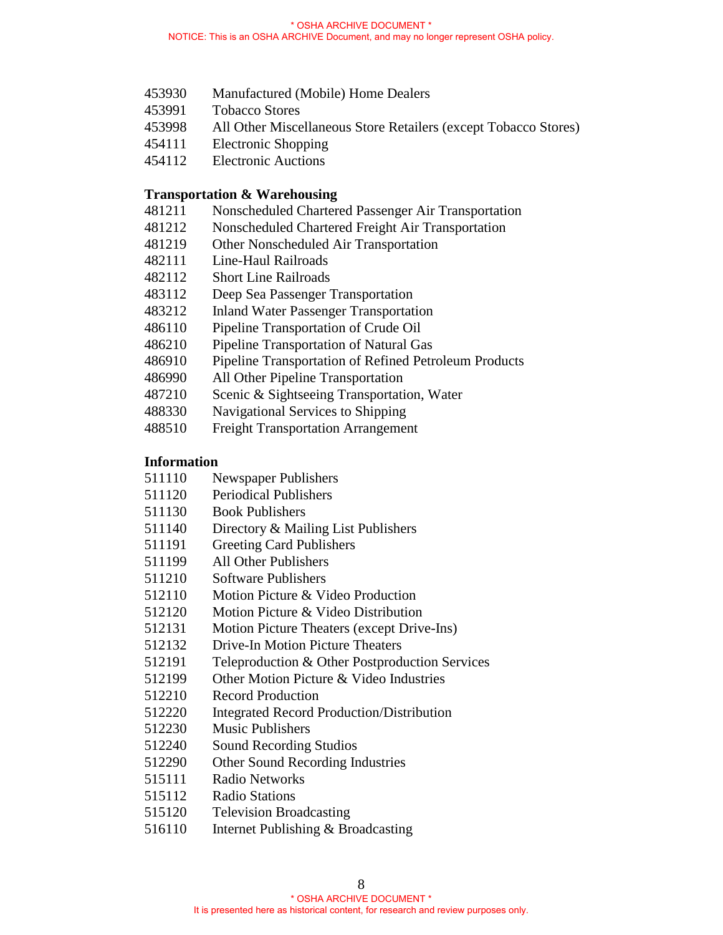- 453930 Manufactured (Mobile) Home Dealers
- 453991 Tobacco Stores
- 453998 All Other Miscellaneous Store Retailers (except Tobacco Stores)
- 454111 Electronic Shopping
- 454112 Electronic Auctions

#### **Transportation & Warehousing**

- 481211 Nonscheduled Chartered Passenger Air Transportation
- 481212 Nonscheduled Chartered Freight Air Transportation
- 481219 Other Nonscheduled Air Transportation
- 482111 Line-Haul Railroads
- 482112 Short Line Railroads
- 483112 Deep Sea Passenger Transportation
- 483212 Inland Water Passenger Transportation
- 486110 Pipeline Transportation of Crude Oil
- 486210 Pipeline Transportation of Natural Gas
- 486910 Pipeline Transportation of Refined Petroleum Products
- 486990 All Other Pipeline Transportation
- 487210 Scenic & Sightseeing Transportation, Water
- 488330 Navigational Services to Shipping
- 488510 Freight Transportation Arrangement

#### **Information**

- 511110 Newspaper Publishers
- 511120 Periodical Publishers
- 511130 Book Publishers
- 511140 Directory & Mailing List Publishers
- 511191 Greeting Card Publishers
- 511199 All Other Publishers
- 511210 Software Publishers
- 512110 Motion Picture & Video Production
- 512120 Motion Picture & Video Distribution
- 512131 Motion Picture Theaters (except Drive-Ins)
- 512132 Drive-In Motion Picture Theaters
- 512191 Teleproduction & Other Postproduction Services
- 512199 Other Motion Picture & Video Industries
- 512210 Record Production
- 512220 Integrated Record Production/Distribution
- 512230 Music Publishers
- 512240 Sound Recording Studios
- 512290 Other Sound Recording Industries
- 515111 Radio Networks
- 515112 Radio Stations
- 515120 Television Broadcasting
- 516110 Internet Publishing & Broadcasting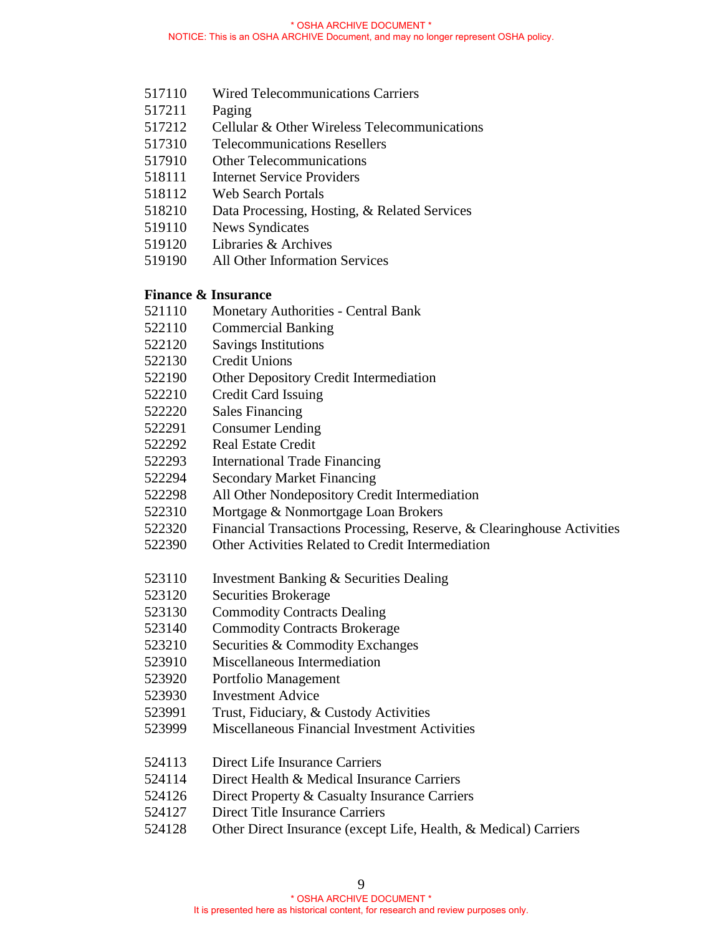- 517110 Wired Telecommunications Carriers
- 517211 Paging
- 517212 Cellular & Other Wireless Telecommunications
- 517310 Telecommunications Resellers
- 517910 Other Telecommunications
- 518111 Internet Service Providers
- 518112 Web Search Portals
- 518210 Data Processing, Hosting, & Related Services
- 519110 News Syndicates
- 519120 Libraries & Archives
- 519190 All Other Information Services

#### **Finance & Insurance**

- 521110 Monetary Authorities Central Bank
- 522110 Commercial Banking
- 522120 Savings Institutions
- 522130 Credit Unions
- 522190 Other Depository Credit Intermediation
- 522210 Credit Card Issuing
- 522220 Sales Financing
- 522291 Consumer Lending
- 522292 Real Estate Credit
- 522293 International Trade Financing
- 522294 Secondary Market Financing
- 522298 All Other Nondepository Credit Intermediation
- 522310 Mortgage & Nonmortgage Loan Brokers
- 522320 Financial Transactions Processing, Reserve, & Clearinghouse Activities
- 522390 Other Activities Related to Credit Intermediation
- 523110 Investment Banking & Securities Dealing
- 523120 Securities Brokerage
- 523130 Commodity Contracts Dealing
- 523140 Commodity Contracts Brokerage
- 523210 Securities & Commodity Exchanges
- 523910 Miscellaneous Intermediation
- 523920 Portfolio Management
- 523930 Investment Advice
- 523991 Trust, Fiduciary, & Custody Activities
- 523999 Miscellaneous Financial Investment Activities
- 524113 Direct Life Insurance Carriers
- 524114 Direct Health & Medical Insurance Carriers
- 524126 Direct Property & Casualty Insurance Carriers
- 524127 Direct Title Insurance Carriers
- 524128 Other Direct Insurance (except Life, Health, & Medical) Carriers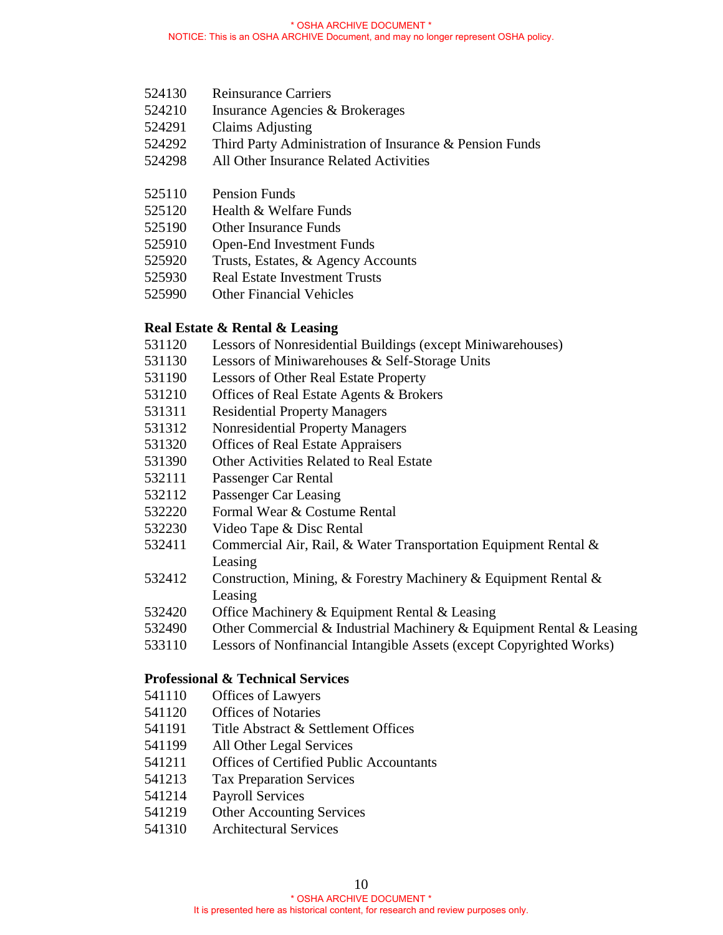- 524130 Reinsurance Carriers
- 524210 Insurance Agencies & Brokerages
- 524291 Claims Adjusting
- 524292 Third Party Administration of Insurance & Pension Funds
- 524298 All Other Insurance Related Activities
- 525110 Pension Funds
- 525120 Health & Welfare Funds
- 525190 Other Insurance Funds
- 525910 Open-End Investment Funds
- 525920 Trusts, Estates, & Agency Accounts
- 525930 Real Estate Investment Trusts
- 525990 Other Financial Vehicles

#### **Real Estate & Rental & Leasing**

- 531120 Lessors of Nonresidential Buildings (except Miniwarehouses)
- 531130 Lessors of Miniwarehouses & Self-Storage Units
- 531190 Lessors of Other Real Estate Property
- 531210 Offices of Real Estate Agents & Brokers
- 531311 Residential Property Managers
- 531312 Nonresidential Property Managers
- 531320 Offices of Real Estate Appraisers
- 531390 Other Activities Related to Real Estate
- 532111 Passenger Car Rental
- 532112 Passenger Car Leasing
- 532220 Formal Wear & Costume Rental
- 532230 Video Tape & Disc Rental
- 532411 Commercial Air, Rail, & Water Transportation Equipment Rental & Leasing
- 532412 Construction, Mining, & Forestry Machinery & Equipment Rental & Leasing
- 532420 Office Machinery & Equipment Rental & Leasing
- 532490 Other Commercial & Industrial Machinery & Equipment Rental & Leasing
- 533110 Lessors of Nonfinancial Intangible Assets (except Copyrighted Works)

#### **Professional & Technical Services**

- 541110 Offices of Lawyers
- 541120 Offices of Notaries
- 541191 Title Abstract & Settlement Offices
- 541199 All Other Legal Services
- 541211 Offices of Certified Public Accountants
- 541213 Tax Preparation Services
- 541214 Payroll Services
- 541219 Other Accounting Services
- 541310 Architectural Services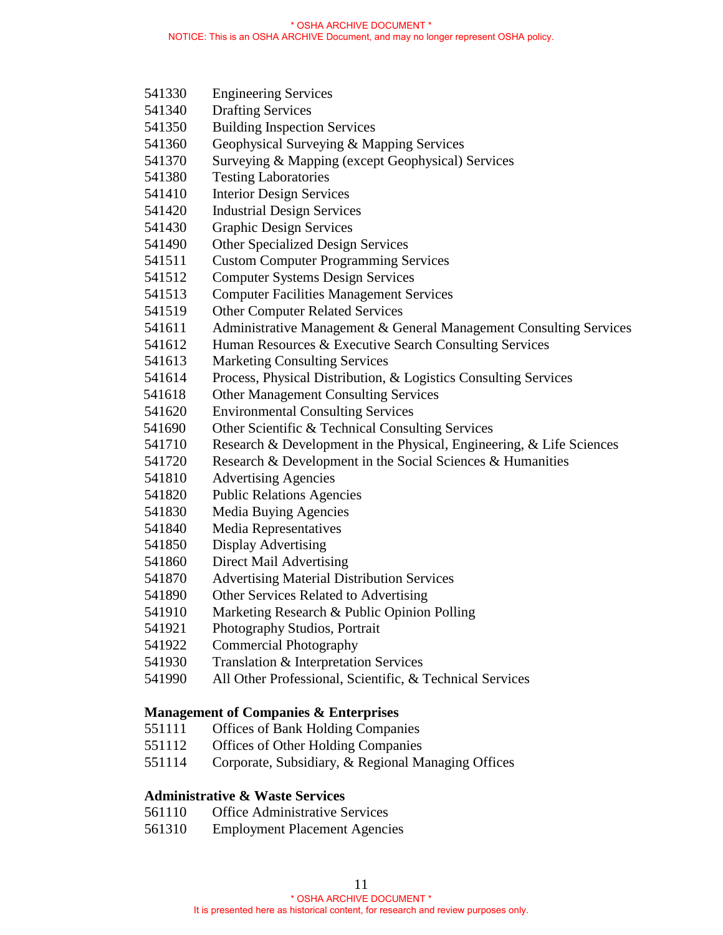- 541330 Engineering Services
- 541340 Drafting Services
- 541350 Building Inspection Services
- 541360 Geophysical Surveying & Mapping Services
- 541370 Surveying & Mapping (except Geophysical) Services
- 541380 Testing Laboratories
- 541410 Interior Design Services
- 541420 Industrial Design Services
- 541430 Graphic Design Services
- 541490 Other Specialized Design Services
- 541511 Custom Computer Programming Services
- 541512 Computer Systems Design Services
- 541513 Computer Facilities Management Services
- 541519 Other Computer Related Services
- 541611 Administrative Management & General Management Consulting Services
- 541612 Human Resources & Executive Search Consulting Services
- 541613 Marketing Consulting Services
- 541614 Process, Physical Distribution, & Logistics Consulting Services
- 541618 Other Management Consulting Services
- 541620 Environmental Consulting Services
- 541690 Other Scientific & Technical Consulting Services
- 541710 Research & Development in the Physical, Engineering, & Life Sciences
- 541720 Research & Development in the Social Sciences & Humanities
- 541810 Advertising Agencies
- 541820 Public Relations Agencies
- 541830 Media Buying Agencies
- 541840 Media Representatives
- 541850 Display Advertising
- 541860 Direct Mail Advertising
- 541870 Advertising Material Distribution Services
- 541890 Other Services Related to Advertising
- 541910 Marketing Research & Public Opinion Polling
- 541921 Photography Studios, Portrait
- 541922 Commercial Photography
- 541930 Translation & Interpretation Services
- 541990 All Other Professional, Scientific, & Technical Services

#### **Management of Companies & Enterprises**

- 551111 Offices of Bank Holding Companies
- 551112 Offices of Other Holding Companies
- 551114 Corporate, Subsidiary, & Regional Managing Offices

#### **Administrative & Waste Services**

- 561110 Office Administrative Services
- 561310 Employment Placement Agencies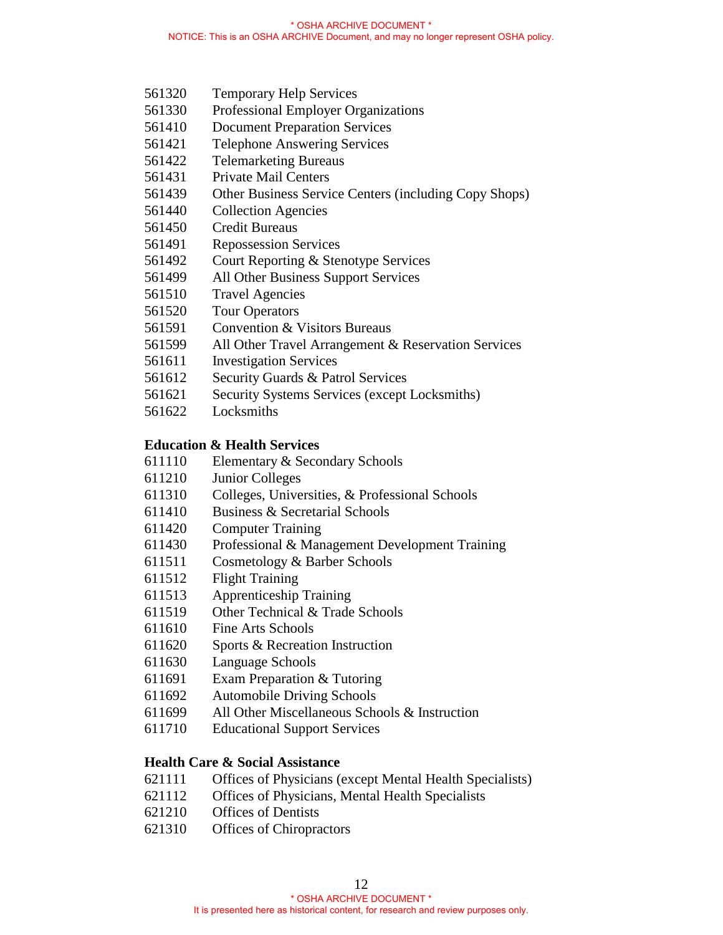- 561320 Temporary Help Services
- 561330 Professional Employer Organizations
- 561410 Document Preparation Services
- 561421 Telephone Answering Services
- 561422 Telemarketing Bureaus
- 561431 Private Mail Centers
- 561439 Other Business Service Centers (including Copy Shops)
- 561440 Collection Agencies
- 561450 Credit Bureaus
- 561491 Repossession Services
- 561492 Court Reporting & Stenotype Services
- 561499 All Other Business Support Services
- 561510 Travel Agencies
- 561520 Tour Operators
- 561591 Convention & Visitors Bureaus
- 561599 All Other Travel Arrangement & Reservation Services
- 561611 Investigation Services
- 561612 Security Guards & Patrol Services
- 561621 Security Systems Services (except Locksmiths)
- 561622 Locksmiths

#### **Education & Health Services**

- 611110 Elementary & Secondary Schools
- 611210 Junior Colleges
- 611310 Colleges, Universities, & Professional Schools
- 611410 Business & Secretarial Schools
- 611420 Computer Training
- 611430 Professional & Management Development Training
- 611511 Cosmetology & Barber Schools
- 611512 Flight Training
- 611513 Apprenticeship Training
- 611519 Other Technical & Trade Schools
- 611610 Fine Arts Schools
- 611620 Sports & Recreation Instruction
- 611630 Language Schools
- 611691 Exam Preparation & Tutoring
- 611692 Automobile Driving Schools
- 611699 All Other Miscellaneous Schools & Instruction
- 611710 Educational Support Services

#### **Health Care & Social Assistance**

- 621111 Offices of Physicians (except Mental Health Specialists)
- 621112 Offices of Physicians, Mental Health Specialists
- 621210 Offices of Dentists
- 621310 Offices of Chiropractors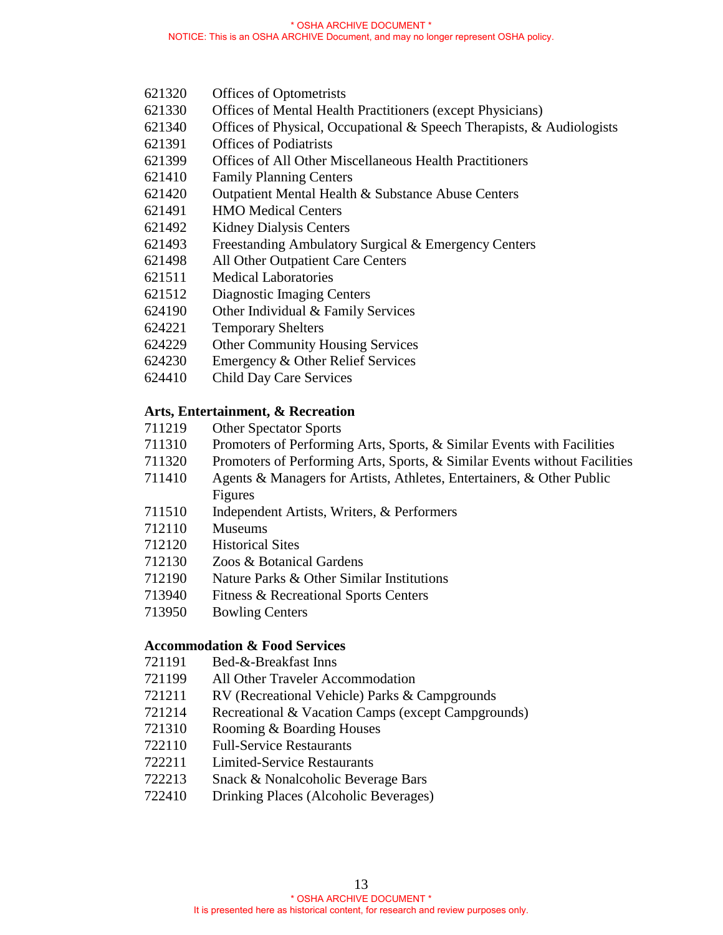- 621320 Offices of Optometrists
- 621330 Offices of Mental Health Practitioners (except Physicians)
- 621340 Offices of Physical, Occupational & Speech Therapists, & Audiologists
- 621391 Offices of Podiatrists
- 621399 Offices of All Other Miscellaneous Health Practitioners
- 621410 Family Planning Centers
- 621420 Outpatient Mental Health & Substance Abuse Centers
- 621491 HMO Medical Centers
- 621492 Kidney Dialysis Centers
- 621493 Freestanding Ambulatory Surgical & Emergency Centers
- 621498 All Other Outpatient Care Centers
- 621511 Medical Laboratories
- 621512 Diagnostic Imaging Centers
- 624190 Other Individual & Family Services
- 624221 Temporary Shelters
- 624229 Other Community Housing Services
- 624230 Emergency & Other Relief Services
- 624410 Child Day Care Services

### **Arts, Entertainment, & Recreation**

- 711219 Other Spectator Sports
- 711310 Promoters of Performing Arts, Sports, & Similar Events with Facilities
- 711320 Promoters of Performing Arts, Sports, & Similar Events without Facilities
- 711410 Agents & Managers for Artists, Athletes, Entertainers, & Other Public Figures
- 711510 Independent Artists, Writers, & Performers
- 712110 Museums
- 712120 Historical Sites
- 712130 Zoos & Botanical Gardens
- 712190 Nature Parks & Other Similar Institutions
- 713940 Fitness & Recreational Sports Centers
- 713950 Bowling Centers

#### **Accommodation & Food Services**

- 721191 Bed-&-Breakfast Inns
- 721199 All Other Traveler Accommodation
- 721211 RV (Recreational Vehicle) Parks & Campgrounds
- 721214 Recreational & Vacation Camps (except Campgrounds)
- 721310 Rooming & Boarding Houses
- 722110 Full-Service Restaurants
- 722211 Limited-Service Restaurants
- 722213 Snack & Nonalcoholic Beverage Bars
- 722410 Drinking Places (Alcoholic Beverages)